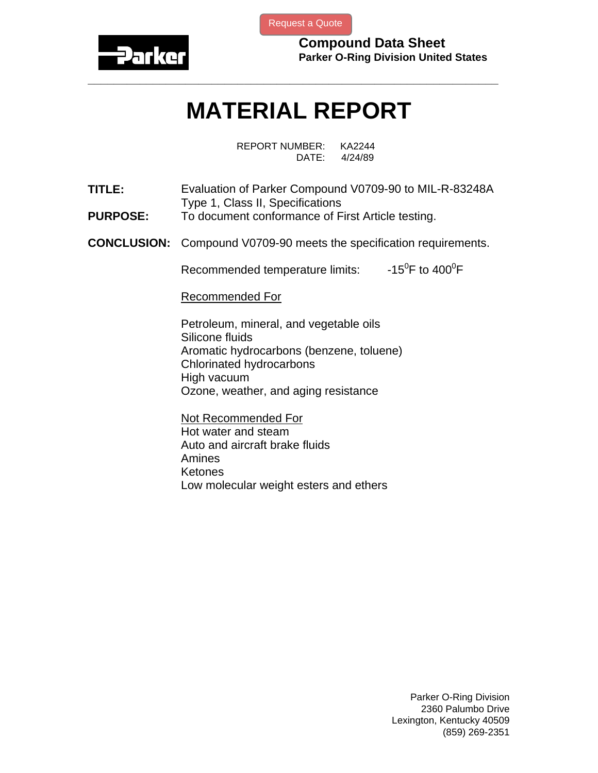

[Request a Quote](http://www.marcorubber.com/contact_quote.htm?material=Parker+V0709-90)

**Compound Data Sheet Parker O-Ring Division United States** 

## **MATERIAL REPORT**

**\_\_\_\_\_\_\_\_\_\_\_\_\_\_\_\_\_\_\_\_\_\_\_\_\_\_\_\_\_\_\_\_\_\_\_\_\_\_\_\_\_\_\_\_\_\_\_\_\_\_\_\_\_\_\_\_\_\_\_\_\_\_\_** 

REPORT NUMBER: KA2244 DATE: 4/24/89

- **TITLE:** Evaluation of Parker Compound V0709-90 to MIL-R-83248A Type 1, Class II, Specifications
- **PURPOSE:** To document conformance of First Article testing.
- **CONCLUSION:** Compound V0709-90 meets the specification requirements.

Recommended temperature limits: F to  $400^0$ F

Recommended For

Petroleum, mineral, and vegetable oils Silicone fluids Aromatic hydrocarbons (benzene, toluene) Chlorinated hydrocarbons High vacuum Ozone, weather, and aging resistance

Not Recommended For Hot water and steam Auto and aircraft brake fluids Amines Ketones Low molecular weight esters and ethers

> Parker O-Ring Division 2360 Palumbo Drive Lexington, Kentucky 40509 (859) 269-2351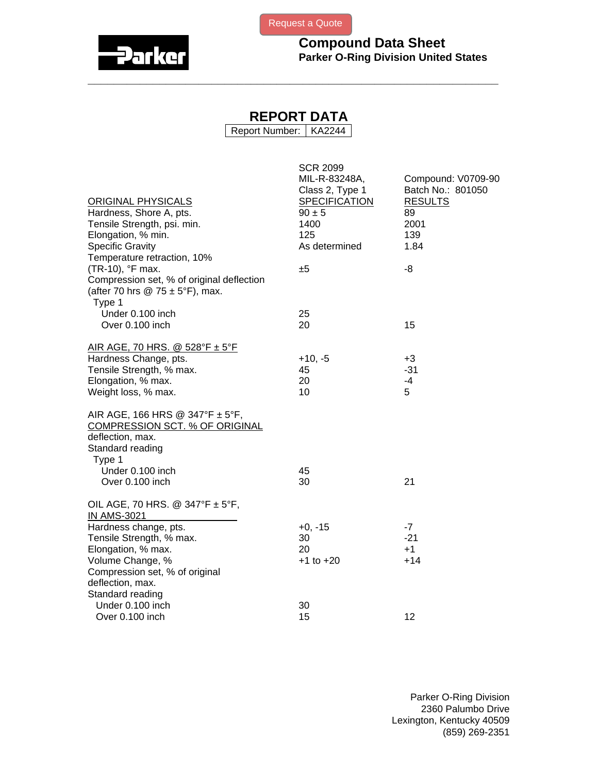



## **REPORT DATA**

**\_\_\_\_\_\_\_\_\_\_\_\_\_\_\_\_\_\_\_\_\_\_\_\_\_\_\_\_\_\_\_\_\_\_\_\_\_\_\_\_\_\_\_\_\_\_\_\_\_\_\_\_\_\_\_\_\_\_\_\_\_\_\_** 

Report Number: | KA2244

| <b>ORIGINAL PHYSICALS</b><br>Hardness, Shore A, pts.<br>Tensile Strength, psi. min.<br>Elongation, % min.<br><b>Specific Gravity</b><br>Temperature retraction, 10%   | <b>SCR 2099</b><br>MIL-R-83248A,<br>Class 2, Type 1<br><b>SPECIFICATION</b><br>$90 \pm 5$<br>1400<br>125<br>As determined | Compound: V0709-90<br>Batch No.: 801050<br><b>RESULTS</b><br>89<br>2001<br>139<br>1.84 |
|-----------------------------------------------------------------------------------------------------------------------------------------------------------------------|---------------------------------------------------------------------------------------------------------------------------|----------------------------------------------------------------------------------------|
| (TR-10), °F max.<br>Compression set, % of original deflection<br>(after 70 hrs $@ 75 \pm 5$ °F), max.<br>Type 1                                                       | ±5                                                                                                                        | -8                                                                                     |
| Under 0.100 inch<br>Over 0.100 inch                                                                                                                                   | 25<br>20                                                                                                                  | 15                                                                                     |
| <u>AIR AGE, 70 HRS. @ 528°F ± 5°F</u><br>Hardness Change, pts.<br>Tensile Strength, % max.<br>Elongation, % max.<br>Weight loss, % max.                               | $+10, -5$<br>45<br>20<br>10                                                                                               | $+3$<br>$-31$<br>$-4$<br>5                                                             |
| AIR AGE, 166 HRS @ 347°F ± 5°F,<br>COMPRESSION SCT. % OF ORIGINAL<br>deflection, max.<br>Standard reading<br>Type 1                                                   |                                                                                                                           |                                                                                        |
| Under 0.100 inch<br>Over 0.100 inch                                                                                                                                   | 45<br>30                                                                                                                  | 21                                                                                     |
| OIL AGE, 70 HRS. @ 347°F $\pm$ 5°F,<br><b>IN AMS-3021</b>                                                                                                             |                                                                                                                           |                                                                                        |
| Hardness change, pts.<br>Tensile Strength, % max.<br>Elongation, % max.<br>Volume Change, %<br>Compression set, % of original<br>deflection, max.<br>Standard reading | $+0, -15$<br>30<br>20<br>$+1$ to $+20$                                                                                    | $-7$<br>$-21$<br>$+1$<br>$+14$                                                         |
| Under 0.100 inch<br>Over 0.100 inch                                                                                                                                   | 30<br>15                                                                                                                  | 12                                                                                     |